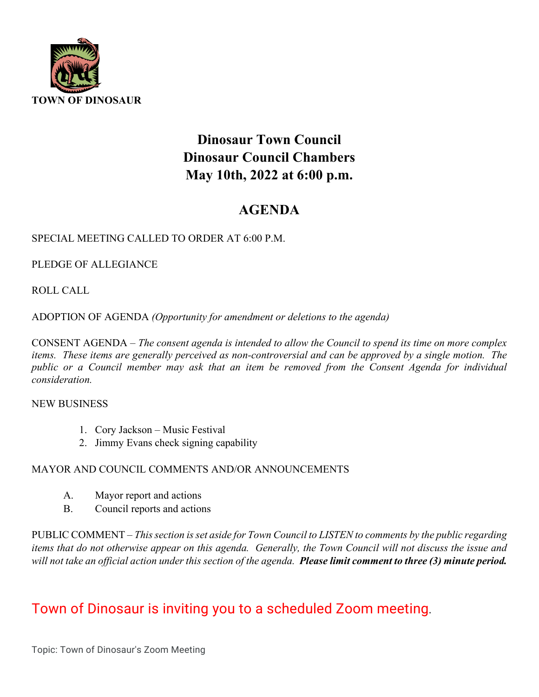

# **Dinosaur Town Council Dinosaur Council Chambers May 10th, 2022 at 6:00 p.m.**

## **AGENDA**

### SPECIAL MEETING CALLED TO ORDER AT 6:00 P.M.

PLEDGE OF ALLEGIANCE

ROLL CALL

ADOPTION OF AGENDA *(Opportunity for amendment or deletions to the agenda)*

CONSENT AGENDA – *The consent agenda is intended to allow the Council to spend its time on more complex items. These items are generally perceived as non-controversial and can be approved by a single motion. The public or a Council member may ask that an item be removed from the Consent Agenda for individual consideration.*

#### NEW BUSINESS

- 1. Cory Jackson Music Festival
- 2. Jimmy Evans check signing capability

### MAYOR AND COUNCIL COMMENTS AND/OR ANNOUNCEMENTS

- A. Mayor report and actions
- B. Council reports and actions

PUBLIC COMMENT – *This section is set aside for Town Council to LISTEN to comments by the public regarding items that do not otherwise appear on this agenda. Generally, the Town Council will not discuss the issue and will not take an official action under this section of the agenda. Please limit comment to three (3) minute period.*

## Town of Dinosaur is inviting you to a scheduled Zoom meeting**.**